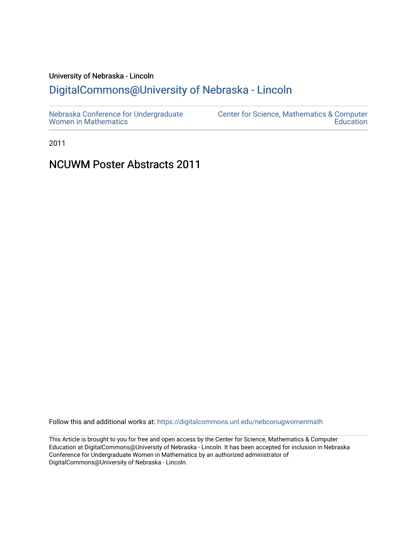### University of Nebraska - Lincoln

## [DigitalCommons@University of Nebraska - Lincoln](https://digitalcommons.unl.edu/)

2011

## NCUWM Poster Abstracts 2011

Follow this and additional works at: [https://digitalcommons.unl.edu/nebconugwomenmath](https://digitalcommons.unl.edu/nebconugwomenmath?utm_source=digitalcommons.unl.edu%2Fnebconugwomenmath%2F12&utm_medium=PDF&utm_campaign=PDFCoverPages)

This Article is brought to you for free and open access by the Center for Science, Mathematics & Computer Education at DigitalCommons@University of Nebraska - Lincoln. It has been accepted for inclusion in Nebraska Conference for Undergraduate Women in Mathematics by an authorized administrator of DigitalCommons@University of Nebraska - Lincoln.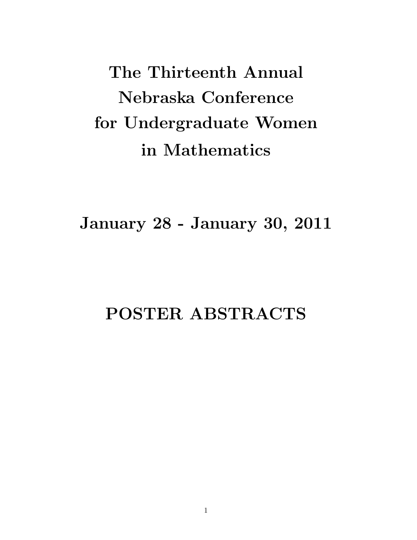The Thirteenth Annual Nebraska Conference for Undergraduate Women in Mathematics

January 28 - January 30, 2011

# POSTER ABSTRACTS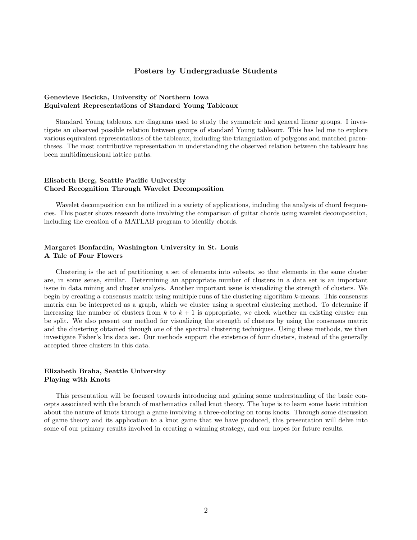#### Posters by Undergraduate Students

#### Genevieve Becicka, University of Northern Iowa Equivalent Representations of Standard Young Tableaux

Standard Young tableaux are diagrams used to study the symmetric and general linear groups. I investigate an observed possible relation between groups of standard Young tableaux. This has led me to explore various equivalent representations of the tableaux, including the triangulation of polygons and matched parentheses. The most contributive representation in understanding the observed relation between the tableaux has been multidimensional lattice paths.

#### Elisabeth Berg, Seattle Pacific University Chord Recognition Through Wavelet Decomposition

Wavelet decomposition can be utilized in a variety of applications, including the analysis of chord frequencies. This poster shows research done involving the comparison of guitar chords using wavelet decomposition, including the creation of a MATLAB program to identify chords.

#### Margaret Bonfardin, Washington University in St. Louis A Tale of Four Flowers

Clustering is the act of partitioning a set of elements into subsets, so that elements in the same cluster are, in some sense, similar. Determining an appropriate number of clusters in a data set is an important issue in data mining and cluster analysis. Another important issue is visualizing the strength of clusters. We begin by creating a consensus matrix using multiple runs of the clustering algorithm k-means. This consensus matrix can be interpreted as a graph, which we cluster using a spectral clustering method. To determine if increasing the number of clusters from k to  $k + 1$  is appropriate, we check whether an existing cluster can be split. We also present our method for visualizing the strength of clusters by using the consensus matrix and the clustering obtained through one of the spectral clustering techniques. Using these methods, we then investigate Fisher's Iris data set. Our methods support the existence of four clusters, instead of the generally accepted three clusters in this data.

#### Elizabeth Braha, Seattle University Playing with Knots

This presentation will be focused towards introducing and gaining some understanding of the basic concepts associated with the branch of mathematics called knot theory. The hope is to learn some basic intuition about the nature of knots through a game involving a three-coloring on torus knots. Through some discussion of game theory and its application to a knot game that we have produced, this presentation will delve into some of our primary results involved in creating a winning strategy, and our hopes for future results.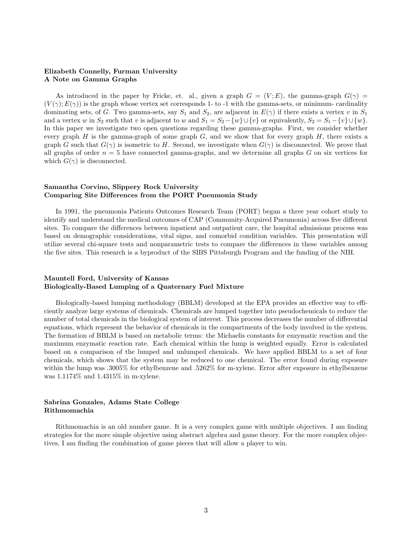#### Elizabeth Connelly, Furman University A Note on Gamma Graphs

As introduced in the paper by Fricke, et. al., given a graph  $G = (V; E)$ , the gamma-graph  $G(\gamma)$  $(V(\gamma); E(\gamma))$  is the graph whose vertex set corresponds 1- to -1 with the gamma-sets, or minimum- cardinality dominating sets, of G. Two gamma-sets, say  $S_1$  and  $S_2$ , are adjacent in  $E(\gamma)$  if there exists a vertex v in  $S_1$ and a vertex w in  $S_2$  such that v is adjacent to w and  $S_1 = S_2 - \{w\} \cup \{v\}$  or equivalently,  $S_2 = S_1 - \{v\} \cup \{w\}$ . In this paper we investigate two open questions regarding these gamma-graphs. First, we consider whether every graph H is the gamma-graph of some graph  $G$ , and we show that for every graph  $H$ , there exists a graph G such that  $G(\gamma)$  is isometric to H. Second, we investigate when  $G(\gamma)$  is disconnected. We prove that all graphs of order  $n = 5$  have connected gamma-graphs, and we determine all graphs  $G$  on six vertices for which  $G(\gamma)$  is disconnected.

#### Samantha Corvino, Slippery Rock University Comparing Site Differences from the PORT Pneumonia Study

In 1991, the pneumonia Patients Outcomes Research Team (PORT) began a three year cohort study to identify and understand the medical outcomes of CAP (Community-Acquired Pneumonia) across five different sites. To compare the differences between inpatient and outpatient care, the hospital admissions process was based on demographic considerations, vital signs, and comorbid condition variables. This presentation will utilize several chi-square tests and nonparametric tests to compare the differences in these variables among the five sites. This research is a byproduct of the SIBS Pittsburgh Program and the funding of the NIH.

#### Mauntell Ford, University of Kansas Biologically-Based Lumping of a Quaternary Fuel Mixture

Biologically-based lumping methodology (BBLM) developed at the EPA provides an effective way to efficiently analyze large systems of chemicals. Chemicals are lumped together into pseudochemicals to reduce the number of total chemicals in the biological system of interest. This process decreases the number of differential equations, which represent the behavior of chemicals in the compartments of the body involved in the system. The formation of BBLM is based on metabolic terms: the Michaelis constants for enzymatic reaction and the maximum enzymatic reaction rate. Each chemical within the lump is weighted equally. Error is calculated based on a comparison of the lumped and unlumped chemicals. We have applied BBLM to a set of four chemicals, which shows that the system may be reduced to one chemical. The error found during exposure within the lump was .3005% for ethylbenzene and .5262% for m-xylene. Error after exposure in ethylbenzene was 1.1174% and 1.4315% in m-xylene.

#### Sabrina Gonzales, Adams State College Rithmomachia

Rithmomachia is an old number game. It is a very complex game with multiple objectives. I am finding strategies for the more simple objective using abstract algebra and game theory. For the more complex objectives, I am finding the combination of game pieces that will allow a player to win.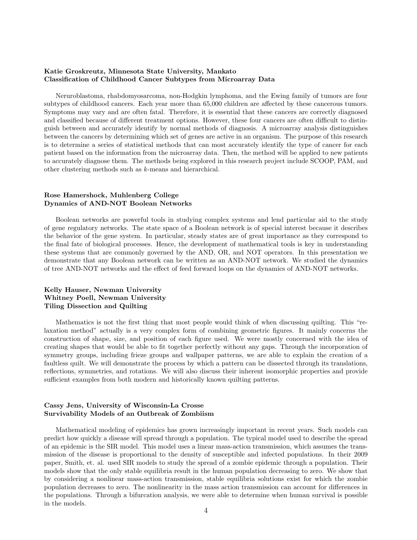#### Katie Groskreutz, Minnesota State University, Mankato Classification of Childhood Cancer Subtypes from Microarray Data

Neruroblastoma, rhabdomyosarcoma, non-Hodgkin lymphoma, and the Ewing family of tumors are four subtypes of childhood cancers. Each year more than 65,000 children are affected by these cancerous tumors. Symptoms may vary and are often fatal. Therefore, it is essential that these cancers are correctly diagnosed and classified because of different treatment options. However, these four cancers are often difficult to distinguish between and accurately identify by normal methods of diagnosis. A microarray analysis distinguishes between the cancers by determining which set of genes are active in an organism. The purpose of this research is to determine a series of statistical methods that can most accurately identify the type of cancer for each patient based on the information from the microarray data. Then, the method will be applied to new patients to accurately diagnose them. The methods being explored in this research project include SCOOP, PAM, and other clustering methods such as k-means and hierarchical.

#### Rose Hamershock, Muhlenberg College Dynamics of AND-NOT Boolean Networks

Boolean networks are powerful tools in studying complex systems and lend particular aid to the study of gene regulatory networks. The state space of a Boolean network is of special interest because it describes the behavior of the gene system. In particular, steady states are of great importance as they correspond to the final fate of biological processes. Hence, the development of mathematical tools is key in understanding these systems that are commonly governed by the AND, OR, and NOT operators. In this presentation we demonstrate that any Boolean network can be written as an AND-NOT network. We studied the dynamics of tree AND-NOT networks and the effect of feed forward loops on the dynamics of AND-NOT networks.

#### Kelly Hauser, Newman University Whitney Poell, Newman University Tiling Dissection and Quilting

Mathematics is not the first thing that most people would think of when discussing quilting. This "relaxation method" actually is a very complex form of combining geometric figures. It mainly concerns the construction of shape, size, and position of each figure used. We were mostly concerned with the idea of creating shapes that would be able to fit together perfectly without any gaps. Through the incorporation of symmetry groups, including frieze groups and wallpaper patterns, we are able to explain the creation of a faultless quilt. We will demonstrate the process by which a pattern can be dissected through its translations, reflections, symmetries, and rotations. We will also discuss their inherent isomorphic properties and provide sufficient examples from both modern and historically known quilting patterns.

#### Cassy Jens, University of Wisconsin-La Crosse Survivability Models of an Outbreak of Zombiism

Mathematical modeling of epidemics has grown increasingly important in recent years. Such models can predict how quickly a disease will spread through a population. The typical model used to describe the spread of an epidemic is the SIR model. This model uses a linear mass-action transmission, which assumes the transmission of the disease is proportional to the density of susceptible and infected populations. In their 2009 paper, Smith, et. al. used SIR models to study the spread of a zombie epidemic through a population. Their models show that the only stable equilibria result in the human population decreasing to zero. We show that by considering a nonlinear mass-action transmission, stable equilibria solutions exist for which the zombie population decreases to zero. The nonlinearity in the mass action transmission can account for differences in the populations. Through a bifurcation analysis, we were able to determine when human survival is possible in the models.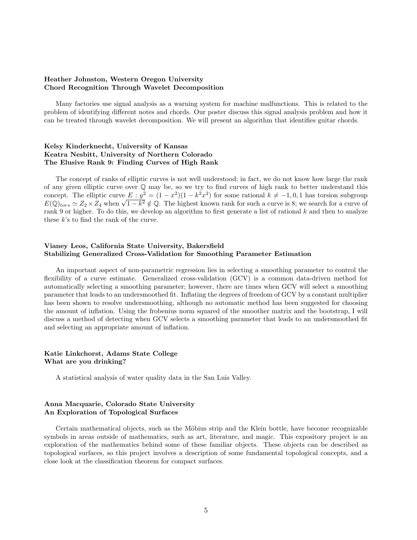#### Heather Johnston, Western Oregon University Chord Recognition Through Wavelet Decomposition

Many factories use signal analysis as a warning system for machine malfunctions. This is related to the problem of identifying different notes and chords. Our poster discuss this signal analysis problem and how it can be treated through wavelet decomposition. We will present an algorithm that identifies guitar chords.

#### Kelsy Kinderknecht, University of Kansas Keatra Nesbitt, University of Northern Colorado The Elusive Rank 9: Finding Curves of High Rank

The concept of ranks of elliptic curves is not well understood; in fact, we do not know how large the rank of any given elliptic curve over Q may be, so we try to find curves of high rank to better understand this concept. The elliptic curve  $E : y^2 = (1 - x^2)(1 - k^2 x^2)$  for some rational  $k \neq -1, 0, 1$  has torsion subgroup concept. The emptic curve  $E: y^2 = (1 - x^2)(1 - \kappa^2 x^2)$  for some rational  $\kappa \neq -1, 0, 1$  has torsion subgroup  $E(\mathbb{Q})_{tors} \simeq Z_2 \times Z_4$  when  $\sqrt{1 - k^2} \notin \mathbb{Q}$ . The highest known rank for such a curve is 8; we search for a rank 9 or higher. To do this, we develop an algorithm to first generate a list of rational  $k$  and then to analyze these  $k$ 's to find the rank of the curve.

#### Vianey Leos, California State University, Bakersfield Stabilizing Generalized Cross-Validation for Smoothing Parameter Estimation

An important aspect of non-parametric regression lies in selecting a smoothing parameter to control the flexibility of a curve estimate. Generalized cross-validation (GCV) is a common data-driven method for automatically selecting a smoothing parameter; however, there are times when GCV will select a smoothing parameter that leads to an undersmoothed fit. Inflating the degrees of freedom of GCV by a constant multiplier has been shown to resolve undersmoothing, although no automatic method has been suggested for choosing the amount of inflation. Using the frobenius norm squared of the smoother matrix and the bootstrap, I will discuss a method of detecting when GCV selects a smoothing parameter that leads to an undersmoothed fit and selecting an appropriate amount of inflation.

#### Katie Linkchorst, Adams State College What are you drinking?

A statistical analysis of water quality data in the San Luis Valley.

#### Anna Macquarie, Colorado State University An Exploration of Topological Surfaces

Certain mathematical objects, such as the Möbius strip and the Klein bottle, have become recognizable symbols in areas outside of mathematics, such as art, literature, and magic. This expository project is an exploration of the mathematics behind some of these familiar objects. These objects can be described as topological surfaces, so this project involves a description of some fundamental topological concepts, and a close look at the classification theorem for compact surfaces.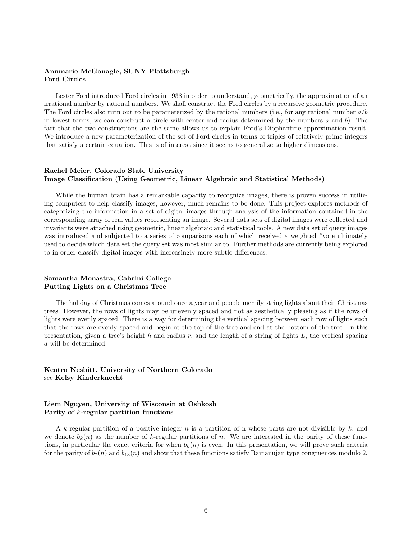#### Annmarie McGonagle, SUNY Plattsburgh Ford Circles

Lester Ford introduced Ford circles in 1938 in order to understand, geometrically, the approximation of an irrational number by rational numbers. We shall construct the Ford circles by a recursive geometric procedure. The Ford circles also turn out to be parameterized by the rational numbers (i.e., for any rational number  $a/b$ ) in lowest terms, we can construct a circle with center and radius determined by the numbers  $a$  and  $b$ ). The fact that the two constructions are the same allows us to explain Ford's Diophantine approximation result. We introduce a new parameterization of the set of Ford circles in terms of triples of relatively prime integers that satisfy a certain equation. This is of interest since it seems to generalize to higher dimensions.

#### Rachel Meier, Colorado State University Image Classification (Using Geometric, Linear Algebraic and Statistical Methods)

While the human brain has a remarkable capacity to recognize images, there is proven success in utilizing computers to help classify images, however, much remains to be done. This project explores methods of categorizing the information in a set of digital images through analysis of the information contained in the corresponding array of real values representing an image. Several data sets of digital images were collected and invariants were attached using geometric, linear algebraic and statistical tools. A new data set of query images was introduced and subjected to a series of comparisons each of which received a weighted "vote ultimately used to decide which data set the query set was most similar to. Further methods are currently being explored to in order classify digital images with increasingly more subtle differences.

#### Samantha Monastra, Cabrini College Putting Lights on a Christmas Tree

The holiday of Christmas comes around once a year and people merrily string lights about their Christmas trees. However, the rows of lights may be unevenly spaced and not as aesthetically pleasing as if the rows of lights were evenly spaced. There is a way for determining the vertical spacing between each row of lights such that the rows are evenly spaced and begin at the top of the tree and end at the bottom of the tree. In this presentation, given a tree's height h and radius r, and the length of a string of lights  $L$ , the vertical spacing d will be determined.

#### Keatra Nesbitt, University of Northern Colorado see Kelsy Kinderknecht

#### Liem Nguyen, University of Wisconsin at Oshkosh Parity of k-regular partition functions

A k-regular partition of a positive integer n is a partition of n whose parts are not divisible by k, and we denote  $b_k(n)$  as the number of k-regular partitions of n. We are interested in the parity of these functions, in particular the exact criteria for when  $b_k(n)$  is even. In this presentation, we will prove such criteria for the parity of  $b_7(n)$  and  $b_{13}(n)$  and show that these functions satisfy Ramanujan type congruences modulo 2.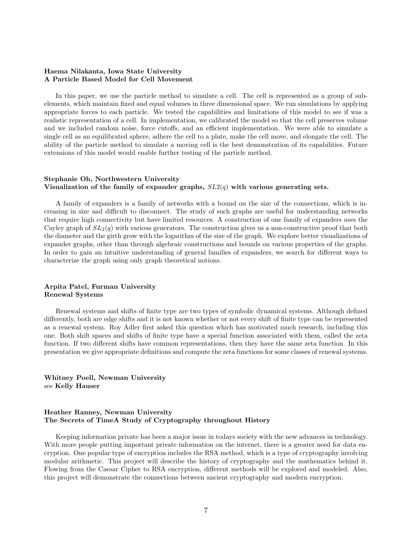#### Haema Nilakanta, Iowa State University A Particle Based Model for Cell Movement

In this paper, we use the particle method to simulate a cell. The cell is represented as a group of subelements, which maintain fixed and equal volumes in three dimensional space. We run simulations by applying appropriate forces to each particle. We tested the capabilities and limitations of this model to see if was a realistic representation of a cell. In implementation, we calibrated the model so that the cell preserves volume and we included random noise, force cutoffs, and an efficient implementation. We were able to simulate a single cell as an equilibrated sphere, adhere the cell to a plate, make the cell move, and elongate the cell. The ability of the particle method to simulate a moving cell is the best demonstration of its capabilities. Future extensions of this model would enable further testing of the particle method.

#### Stephanie Oh, Northwestern University Visualization of the family of expander graphs,  $SL(4)$  with various generating sets.

A family of expanders is a family of networks with a bound on the size of the connections, which is increasing in size and difficult to disconnect. The study of such graphs are useful for understanding networks that require high connectivity but have limited resources. A construction of one family of expanders uses the Cayley graph of  $SL_2(q)$  with various generators. The construction gives us a non-constructive proof that both the diameter and the girth grow with the logarithm of the size of the graph. We explore better visualizations of expander graphs, other than through algebraic constructions and bounds on various properties of the graphs. In order to gain an intuitive understanding of general families of expanders, we search for different ways to characterize the graph using only graph theoretical notions.

#### Arpita Patel, Furman University Renewal Systems

Renewal systems and shifts of finite type are two types of symbolic dynamical systems. Although defined differently, both are edge shifts and it is not known whether or not every shift of finite type can be represented as a renewal system. Roy Adler first asked this question which has motivated much research, including this one. Both shift spaces and shifts of finite type have a special function associated with them, called the zeta function. If two different shifts have common representations, then they have the same zeta function. In this presentation we give appropriate definitions and compute the zeta functions for some classes of renewal systems.

#### Whitney Poell, Newman University see Kelly Hauser

#### Heather Ranney, Newman University The Secrets of TimeA Study of Cryptography throughout History

Keeping information private has been a major issue in todays society with the new advances in technology. With more people putting important private information on the internet, there is a greater need for data encryption. One popular type of encryption includes the RSA method, which is a type of cryptography involving modular arithmetic. This project will describe the history of cryptography and the mathematics behind it. Flowing from the Caesar Cipher to RSA encryption, different methods will be explored and modeled. Also, this project will demonstrate the connections between ancient cryptography and modern encryption.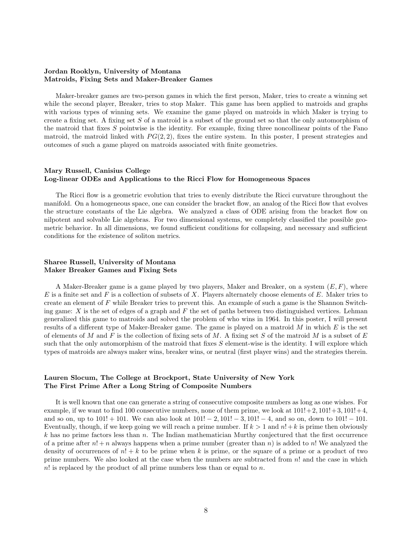#### Jordan Rooklyn, University of Montana Matroids, Fixing Sets and Maker-Breaker Games

Maker-breaker games are two-person games in which the first person, Maker, tries to create a winning set while the second player, Breaker, tries to stop Maker. This game has been applied to matroids and graphs with various types of winning sets. We examine the game played on matroids in which Maker is trying to create a fixing set. A fixing set  $S$  of a matroid is a subset of the ground set so that the only automorphism of the matroid that fixes  $S$  pointwise is the identity. For example, fixing three noncollinear points of the Fano matroid, the matroid linked with  $PG(2, 2)$ , fixes the entire system. In this poster, I present strategies and outcomes of such a game played on matroids associated with finite geometries.

#### Mary Russell, Canisius College Log-linear ODEs and Applications to the Ricci Flow for Homogeneous Spaces

The Ricci flow is a geometric evolution that tries to evenly distribute the Ricci curvature throughout the manifold. On a homogeneous space, one can consider the bracket flow, an analog of the Ricci flow that evolves the structure constants of the Lie algebra. We analyzed a class of ODE arising from the bracket flow on nilpotent and solvable Lie algebras. For two dimensional systems, we completely classified the possible geometric behavior. In all dimensions, we found sufficient conditions for collapsing, and necessary and sufficient conditions for the existence of soliton metrics.

#### Sharee Russell, University of Montana Maker Breaker Games and Fixing Sets

A Maker-Breaker game is a game played by two players, Maker and Breaker, on a system  $(E, F)$ , where E is a finite set and F is a collection of subsets of X. Players alternately choose elements of E. Maker tries to create an element of F while Breaker tries to prevent this. An example of such a game is the Shannon Switching game: X is the set of edges of a graph and  $F$  the set of paths between two distinguished vertices. Lehman generalized this game to matroids and solved the problem of who wins in 1964. In this poster, I will present results of a different type of Maker-Breaker game. The game is played on a matroid  $M$  in which  $E$  is the set of elements of M and F is the collection of fixing sets of M. A fixing set S of the matroid M is a subset of  $E$ such that the only automorphism of the matroid that fixes  $S$  element-wise is the identity. I will explore which types of matroids are always maker wins, breaker wins, or neutral (first player wins) and the strategies therein.

#### Lauren Slocum, The College at Brockport, State University of New York The First Prime After a Long String of Composite Numbers

It is well known that one can generate a string of consecutive composite numbers as long as one wishes. For example, if we want to find 100 consecutive numbers, none of them prime, we look at  $101!+2$ ,  $101!+3$ ,  $101!+4$ , and so on, up to  $101! + 101$ . We can also look at  $101! - 2$ ,  $101! - 3$ ,  $101! - 4$ , and so on, down to  $101! - 101$ . Eventually, though, if we keep going we will reach a prime number. If  $k > 1$  and  $n! + k$  is prime then obviously  $k$  has no prime factors less than  $n$ . The Indian mathematician Murthy conjectured that the first occurrence of a prime after  $n! + n$  always happens when a prime number (greater than n) is added to n! We analyzed the density of occurrences of  $n! + k$  to be prime when k is prime, or the square of a prime or a product of two prime numbers. We also looked at the case when the numbers are subtracted from  $n!$  and the case in which  $n!$  is replaced by the product of all prime numbers less than or equal to n.